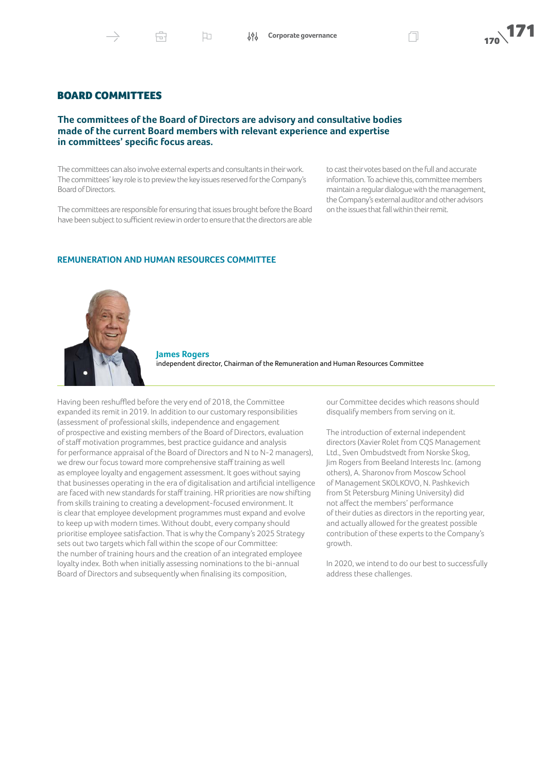Þ

# BOARD COMMITTEES

## **The committees of the Board of Directors are advisory and consultative bodies made of the current Board members with relevant experience and expertise in committees' specific focus areas.**

The committees can also involve external experts and consultants in their work. The committees' key role is to preview the key issues reserved for the Company's Board of Directors.

The committees are responsible for ensuring that issues brought before the Board have been subject to sufficient review in order to ensure that the directors are able

to cast their votes based on the full and accurate information. To achieve this, committee members maintain a regular dialogue with the management, the Company's external auditor and other advisors on the issues that fall within their remit.

#### **REMUNERATION AND HUMAN RESOURCES COMMITTEE**



**James Rogers** independent director, Chairman of the Remuneration and Human Resources Committee

Having been reshuffled before the very end of 2018, the Committee expanded its remit in 2019. In addition to our customary responsibilities (assessment of professional skills, independence and engagement of prospective and existing members of the Board of Directors, evaluation of staff motivation programmes, best practice guidance and analysis for performance appraisal of the Board of Directors and N to N-2 managers), we drew our focus toward more comprehensive staff training as well as employee loyalty and engagement assessment. It goes without saying that businesses operating in the era of digitalisation and artificial intelligence are faced with new standards for staff training. HR priorities are now shifting from skills training to creating a development-focused environment. It is clear that employee development programmes must expand and evolve to keep up with modern times. Without doubt, every company should prioritise employee satisfaction. That is why the Company's 2025 Strategy sets out two targets which fall within the scope of our Committee: the number of training hours and the creation of an integrated employee loyalty index. Both when initially assessing nominations to the bi-annual Board of Directors and subsequently when finalising its composition,

our Committee decides which reasons should disqualify members from serving on it.

The introduction of external independent directors (Xavier Rolet from CQS Management Ltd., Sven Ombudstvedt from Norske Skog, Jim Rogers from Beeland Interests Inc. (among others), A. Sharonov from Moscow School of Management SKOLKOVO, N. Pashkevich from St Petersburg Mining University) did not affect the members' performance of their duties as directors in the reporting year, and actually allowed for the greatest possible contribution of these experts to the Company's growth.

In 2020, we intend to do our best to successfully address these challenges.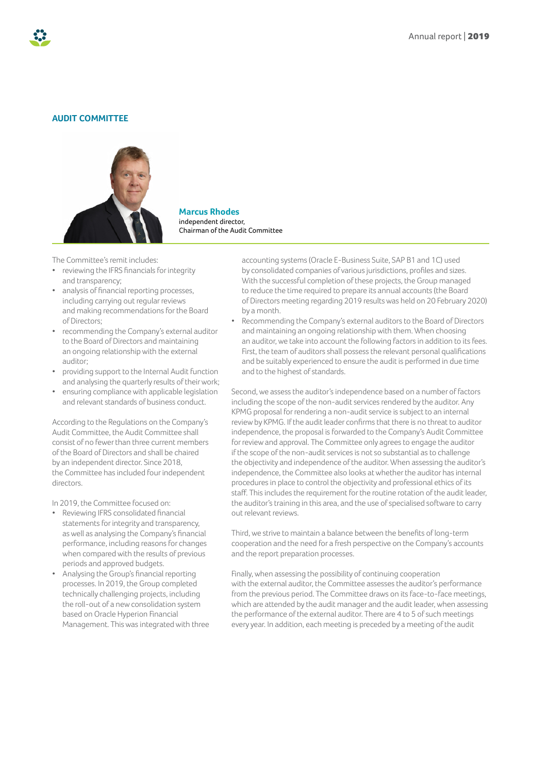## **AUDIT COMMITTEE**



**Marcus Rhodes** independent director, Chairman of the Audit Committee

The Committee's remit includes:

- reviewing the IFRS financials for integrity and transparency;
- analysis of financial reporting processes, including carrying out regular reviews and making recommendations for the Board of Directors;
- recommending the Company's external auditor to the Board of Directors and maintaining an ongoing relationship with the external auditor;
- providing support to the Internal Audit function and analysing the quarterly results of their work;
- ensuring compliance with applicable legislation and relevant standards of business conduct.

According to the Regulations on the Company's Audit Committee, the Audit Committee shall consist of no fewer than three current members of the Board of Directors and shall be chaired by an independent director. Since 2018, the Committee has included four independent directors.

In 2019, the Committee focused on:

- Reviewing IFRS consolidated financial statements for integrity and transparency, as well as analysing the Company's financial performance, including reasons for changes when compared with the results of previous periods and approved budgets.
- Analysing the Group's financial reporting processes. In 2019, the Group completed technically challenging projects, including the roll-out of a new consolidation system based on Oracle Hyperion Financial Management. This was integrated with three

accounting systems (Oracle E-Business Suite, SAP B1 and 1C) used by consolidated companies of various jurisdictions, profiles and sizes. With the successful completion of these projects, the Group managed to reduce the time required to prepare its annual accounts (the Board of Directors meeting regarding 2019 results was held on 20 February 2020) by a month.

• Recommending the Company's external auditors to the Board of Directors and maintaining an ongoing relationship with them. When choosing an auditor, we take into account the following factors in addition to its fees. First, the team of auditors shall possess the relevant personal qualifications and be suitably experienced to ensure the audit is performed in due time and to the highest of standards.

Second, we assess the auditor's independence based on a number of factors including the scope of the non-audit services rendered by the auditor. Any KPMG proposal for rendering a non-audit service is subject to an internal review by KPMG. If the audit leader confirms that there is no threat to auditor independence, the proposal is forwarded to the Company's Audit Committee for review and approval. The Committee only agrees to engage the auditor if the scope of the non-audit services is not so substantial as to challenge the objectivity and independence of the auditor. When assessing the auditor's independence, the Committee also looks at whether the auditor has internal procedures in place to control the objectivity and professional ethics of its staff. This includes the requirement for the routine rotation of the audit leader, the auditor's training in this area, and the use of specialised software to carry out relevant reviews.

Third, we strive to maintain a balance between the benefits of long-term cooperation and the need for a fresh perspective on the Company's accounts and the report preparation processes.

Finally, when assessing the possibility of continuing cooperation with the external auditor, the Committee assesses the auditor's performance from the previous period. The Committee draws on its face-to-face meetings, which are attended by the audit manager and the audit leader, when assessing the performance of the external auditor. There are 4 to 5 of such meetings every year. In addition, each meeting is preceded by a meeting of the audit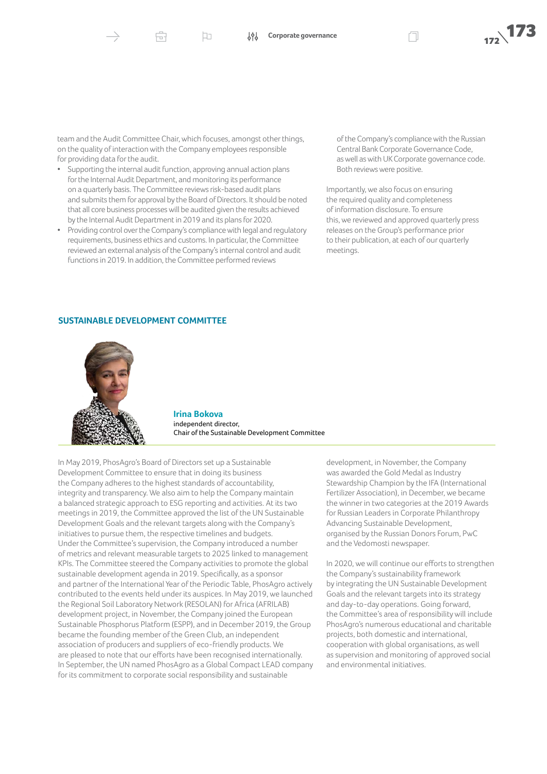Æ

team and the Audit Committee Chair, which focuses, amongst other things, on the quality of interaction with the Company employees responsible for providing data for the audit.

口

- Supporting the internal audit function, approving annual action plans for the Internal Audit Department, and monitoring its performance on a quarterly basis. The Committee reviews risk-based audit plans and submits them for approval by the Board of Directors. It should be noted that all core business processes will be audited given the results achieved by the Internal Audit Department in 2019 and its plans for 2020.
- Providing control over the Company's compliance with legal and regulatory requirements, business ethics and customs. In particular, the Committee reviewed an external analysis of the Company's internal control and audit functions in 2019. In addition, the Committee performed reviews

of the Company's compliance with the Russian Central Bank Corporate Governance Code, as well as with UK Corporate governance code. Both reviews were positive.

Importantly, we also focus on ensuring the required quality and completeness of information disclosure. To ensure this, we reviewed and approved quarterly press releases on the Group's performance prior to their publication, at each of our quarterly meetings.

## **SUSTAINABLE DEVELOPMENT COMMITTEE**



**Irina Bokova** independent director, Chair of the Sustainable Development Committee

In May 2019, PhosAgro's Board of Directors set up a Sustainable Development Committee to ensure that in doing its business the Company adheres to the highest standards of accountability, integrity and transparency. We also aim to help the Company maintain a balanced strategic approach to ESG reporting and activities. At its two meetings in 2019, the Committee approved the list of the UN Sustainable Development Goals and the relevant targets along with the Company's initiatives to pursue them, the respective timelines and budgets. Under the Committee's supervision, the Company introduced a number of metrics and relevant measurable targets to 2025 linked to management KPIs. The Committee steered the Company activities to promote the global sustainable development agenda in 2019. Specifically, as a sponsor and partner of the International Year of the Periodic Table, PhosAgro actively contributed to the events held under its auspices. In May 2019, we launched the Regional Soil Laboratory Network (RESOLAN) for Africa (AFRILAB) development project, in November, the Company joined the European Sustainable Phosphorus Platform (ESPP), and in December 2019, the Group became the founding member of the Green Club, an independent association of producers and suppliers of eco-friendly products. We are pleased to note that our efforts have been recognised internationally. In September, the UN named PhosAgro as a Global Compact LEAD company for its commitment to corporate social responsibility and sustainable

development, in November, the Company was awarded the Gold Medal as Industry Stewardship Champion by the IFA (International Fertilizer Association), in December, we became the winner in two categories at the 2019 Awards for Russian Leaders in Corporate Philanthropy Advancing Sustainable Development, organised by the Russian Donors Forum, PwC and the Vedomosti newspaper.

In 2020, we will continue our efforts to strengthen the Company's sustainability framework by integrating the UN Sustainable Development Goals and the relevant targets into its strategy and day-to-day operations. Going forward, the Committee's area of responsibility will include PhosAgro's numerous educational and charitable projects, both domestic and international, cooperation with global organisations, as well as supervision and monitoring of approved social and environmental initiatives.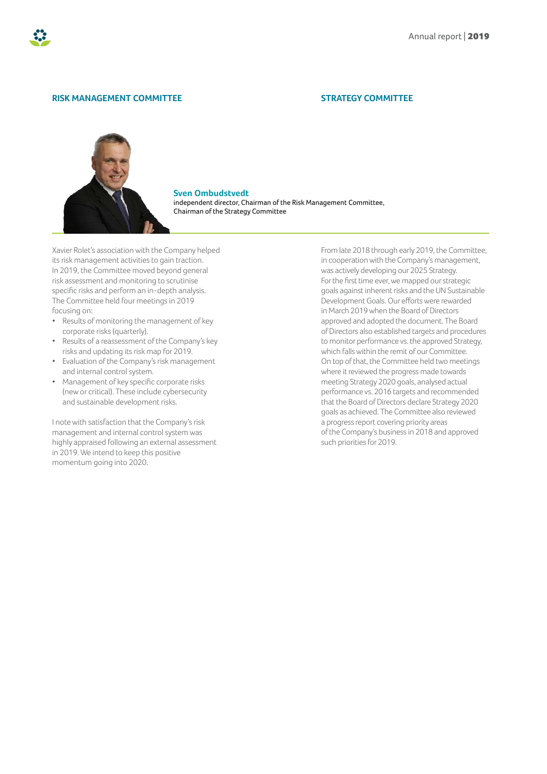

### **RISK MANAGEMENT COMMITTEE**

#### **STRATEGY COMMITTEE**



**Sven Ombudstvedt** independent director, Chairman of the Risk Management Committee, Chairman of the Strategy Committee

Xavier Rolet's association with the Company helped its risk management activities to gain traction. In 2019, the Committee moved beyond general risk assessment and monitoring to scrutinise specific risks and perform an in-depth analysis. The Committee held four meetings in 2019 focusing on:

- Results of monitoring the management of key corporate risks (quarterly).
- Results of a reassessment of the Company's key risks and updating its risk map for 2019.
- Evaluation of the Company's risk management and internal control system.
- Management of key specific corporate risks (new or critical). These include cybersecurity and sustainable development risks.

I note with satisfaction that the Company's risk management and internal control system was highly appraised following an external assessment in 2019. We intend to keep this positive momentum going into 2020.

From late 2018 through early 2019, the Committee, in cooperation with the Company's management, was actively developing our 2025 Strategy. For the first time ever, we mapped our strategic goals against inherent risks and the UN Sustainable Development Goals. Our efforts were rewarded in March 2019 when the Board of Directors approved and adopted the document. The Board of Directors also established targets and procedures to monitor performance vs. the approved Strategy, which falls within the remit of our Committee. On top of that, the Committee held two meetings where it reviewed the progress made towards meeting Strategy 2020 goals, analysed actual performance vs. 2016 targets and recommended that the Board of Directors declare Strategy 2020 goals as achieved. The Committee also reviewed a progress report covering priority areas of the Company's business in 2018 and approved such priorities for 2019.